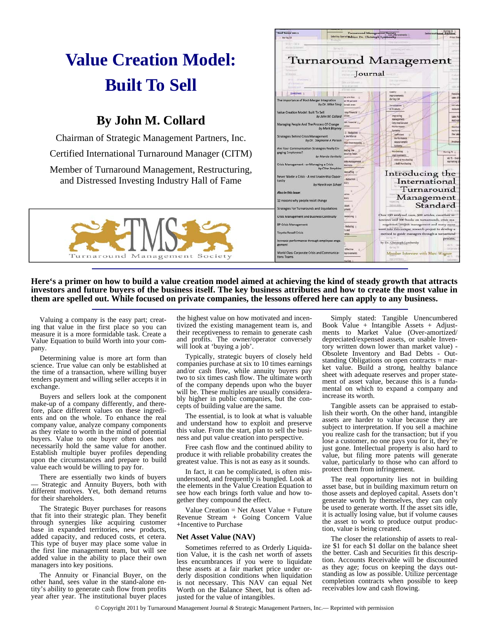# **Value Creation Model: Built To Sell**

## **By John M. Collard**

Chairman of Strategic Management Partners, Inc.

Certified International Turnaround Manager (CITM)

Member of Turnaround Management, Restructuring, and Distressed Investing Industry Hall of Fame





**Here's a primer on how to build a value creation model aimed at achieving the kind of steady growth that attracts investors and future buyers of the business itself. The key business attributes and how to create the most value in them are spelled out. While focused on private companies, the lessons offered here can apply to any business.** 

Valuing a company is the easy part; creating that value in the first place so you can measure it is a more formidable task. Create a Value Equation to build Worth into your company.

Determining value is more art form than science. True value can only be established at the time of a transaction, where willing buyer tenders payment and willing seller accepts it in exchange.

Buyers and sellers look at the component make-up of a company differently, and therefore, place different values on these ingredients and on the whole. To enhance the real company value, analyze company components as they relate to worth in the mind of potential buyers. Value to one buyer often does not necessarily hold the same value for another. Establish multiple buyer profiles depending upon the circumstances and prepare to build value each would be willing to pay for.

There are essentially two kinds of buyers — Strategic and Annuity Buyers, both with different motives. Yet, both demand returns for their shareholders.

The Strategic Buyer purchases for reasons that fit into their strategic plan. They benefit through synergies like acquiring customer base in expanded territories, new products, added capacity, and reduced costs, et cetera. This type of buyer may place some value in the first line management team, but will see added value in the ability to place their own managers into key positions.

The Annuity or Financial Buyer, on the other hand, sees value in the stand-alone entity's ability to generate cash flow from profits year after year. The institutional buyer places the highest value on how motivated and incentivized the existing management team is, and their receptiveness to remain to generate cash and profits. The owner/operator conversely will look at 'buying a job'.

Typically, strategic buyers of closely held companies purchase at six to 10 times earnings and/or cash flow, while annuity buyers pay two to six times cash flow. The ultimate worth of the company depends upon who the buyer will be. These multiples are usually considerably higher in public companies, but the concepts of building value are the same.

The essential, is to look at what is valuable and understand how to exploit and preserve this value. From the start, plan to sell the business and put value creation into perspective.

Free cash flow and the continued ability to produce it with reliable probability creates the greatest value. This is not as easy as it sounds.

In fact, it can be complicated, is often misunderstood, and frequently is bungled. Look at the elements in the Value Creation Equation to see how each brings forth value and how together they compound the effect.

Value Creation = Net Asset Value + Future Revenue Stream + Going Concern Value +Incentive to Purchase

### **Net Asset Value (NAV)**

Sometimes referred to as Orderly Liquidation Value, it is the cash net worth of assets less encumbrances if you were to liquidate these assets at a fair market price under orderly disposition conditions when liquidation is not necessary. This NAV can equal Net Worth on the Balance Sheet, but is often adjusted for the value of intangibles.

Simply stated: Tangible Unencumbered Book Value + Intangible Assets + Adjustments to Market Value (Over-amortized/ depreciated/expensed assets, or usable Inventory written down lower than market value) - Obsolete Inventory and Bad Debts - Outstanding Obligations on open contracts = market value. Build a strong, healthy balance sheet with adequate reserves and proper statement of asset value, because this is a fundamental on which to expand a company and increase its worth.

Tangible assets can be appraised to establish their worth. On the other hand, intangible assets are harder to value because they are subject to interpretation. If you sell a machine you realize cash for the transaction; but if you lose a customer, no one pays you for it, they're just gone. Intellectual property is also hard to value, but filing more patents will generate value, particularly to those who can afford to protect them from infringement.

The real opportunity lies not in building asset base, but in building maximum return on those assets and deployed capital. Assets don't generate worth by themselves, they can only be used to generate worth. If the asset sits idle, it is actually losing value, but if volume causes the asset to work to produce output production, value is being created.

The closer the relationship of assets to realize \$1 for each \$1 dollar on the balance sheet the better. Cash and Securities fit this description. Accounts Receivable will be discounted as they age; focus on keeping the days outstanding as low as possible. Utilize percentage completion contracts when possible to keep receivables low and cash flowing.